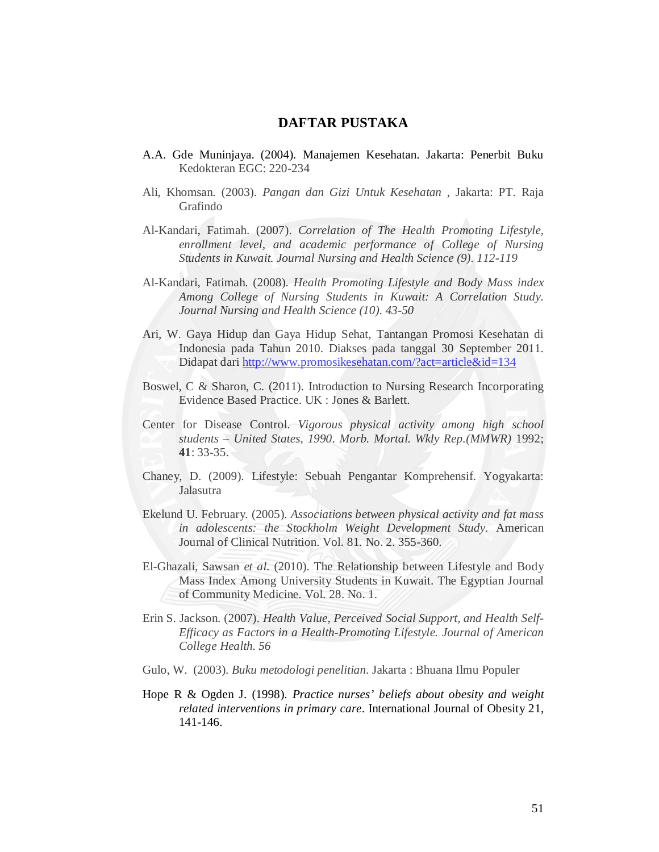## **DAFTAR PUSTAKA**

- A.A. Gde Muninjaya. (2004). Manajemen Kesehatan. Jakarta: Penerbit Buku Kedokteran EGC: 220-234
- Ali, Khomsan. (2003). *Pangan dan Gizi Untuk Kesehatan* , Jakarta: PT. Raja Grafindo
- Al-Kandari, Fatimah. (2007). *Correlation of The Health Promoting Lifestyle, enrollment level, and academic performance of College of Nursing Students in Kuwait. Journal Nursing and Health Science (9). 112-119*
- Al-Kandari, Fatimah. (2008). *Health Promoting Lifestyle and Body Mass index Among College of Nursing Students in Kuwait: A Correlation Study. Journal Nursing and Health Science (10). 43-50*
- Ari, W. Gaya Hidup dan Gaya Hidup Sehat, Tantangan Promosi Kesehatan di Indonesia pada Tahun 2010. Diakses pada tanggal 30 September 2011. Didapat dari http://www.promosikesehatan.com/?act=article&id=134
- Boswel, C & Sharon, C. (2011). Introduction to Nursing Research Incorporating Evidence Based Practice. UK : Jones & Barlett.
- Center for Disease Control. *Vigorous physical activity among high school students – United States, 1990*. *Morb. Mortal. Wkly Rep.(MMWR)* 1992; **41**: 33-35.
- Chaney, D. (2009). Lifestyle: Sebuah Pengantar Komprehensif. Yogyakarta: Jalasutra
- Ekelund U. February. (2005). *Associations between physical activity and fat mass in adolescents: the Stockholm Weight Development Study.* American Journal of Clinical Nutrition. Vol. 81. No. 2. 355-360.
- El-Ghazali, Sawsan *et al.* (2010). The Relationship between Lifestyle and Body Mass Index Among University Students in Kuwait. The Egyptian Journal of Community Medicine. Vol. 28. No. 1.
- Erin S. Jackson. (2007). *Health Value, Perceived Social Support, and Health Self-Efficacy as Factors in a Health-Promoting Lifestyle. Journal of American College Health. 56*
- Gulo, W. (2003). *Buku metodologi penelitian*. Jakarta : Bhuana Ilmu Populer
- Hope R & Ogden J. (1998). *Practice nurses' beliefs about obesity and weight related interventions in primary care*. International Journal of Obesity 21, 141-146.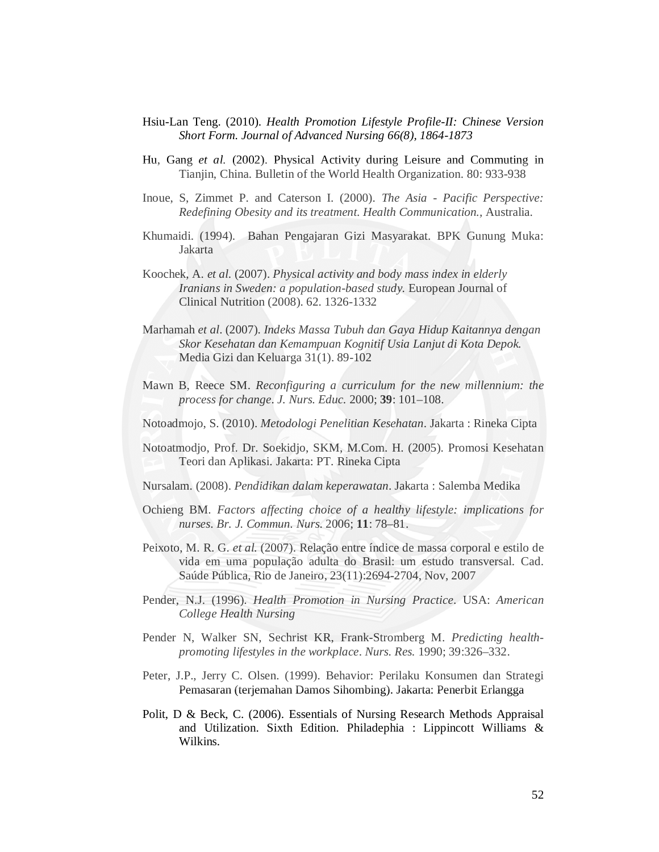- Hsiu-Lan Teng. (2010). *Health Promotion Lifestyle Profile-II: Chinese Version Short Form. Journal of Advanced Nursing 66(8), 1864-1873*
- Hu, Gang *et al.* (2002). Physical Activity during Leisure and Commuting in Tianjin, China. Bulletin of the World Health Organization. 80: 933-938
- Inoue, S, Zimmet P. and Caterson I. (2000). *The Asia - Pacific Perspective: Redefining Obesity and its treatment. Health Communication.,* Australia.
- Khumaidi. (1994). Bahan Pengajaran Gizi Masyarakat. BPK Gunung Muka: Jakarta
- Koochek, A. *et al.* (2007). *Physical activity and body mass index in elderly Iranians in Sweden: a population-based study.* European Journal of Clinical Nutrition (2008). 62. 1326-1332
- Marhamah *et al*. (2007). *Indeks Massa Tubuh dan Gaya Hidup Kaitannya dengan Skor Kesehatan dan Kemampuan Kognitif Usia Lanjut di Kota Depok.*  Media Gizi dan Keluarga 31(1). 89-102
- Mawn B, Reece SM. *Reconfiguring a curriculum for the new millennium: the process for change*. *J. Nurs. Educ.* 2000; **39**: 101–108.
- Notoadmojo, S. (2010). *Metodologi Penelitian Kesehatan*. Jakarta : Rineka Cipta
- Notoatmodjo, Prof. Dr. Soekidjo, SKM, M.Com. H. (2005). Promosi Kesehatan Teori dan Aplikasi. Jakarta: PT. Rineka Cipta
- Nursalam. (2008). *Pendidikan dalam keperawatan*. Jakarta : Salemba Medika
- Ochieng BM. *Factors affecting choice of a healthy lifestyle: implications for nurses*. *Br. J. Commun. Nurs.* 2006; **11**: 78–81.
- Peixoto, M. R. G. *et al.* (2007). Relação entre índice de massa corporal e estilo de vida em uma população adulta do Brasil: um estudo transversal. Cad. Saúde Pública, Rio de Janeiro, 23(11):2694-2704, Nov, 2007
- Pender, N.J. (1996). *Health Promotion in Nursing Practice*. USA: *American College Health Nursing*
- Pender N, Walker SN, Sechrist KR, Frank-Stromberg M. *Predicting healthpromoting lifestyles in the workplace*. *Nurs. Res.* 1990; 39:326–332.
- Peter, J.P., Jerry C. Olsen. (1999). Behavior: Perilaku Konsumen dan Strategi Pemasaran (terjemahan Damos Sihombing). Jakarta: Penerbit Erlangga
- Polit, D & Beck, C. (2006). Essentials of Nursing Research Methods Appraisal and Utilization. Sixth Edition. Philadephia : Lippincott Williams & Wilkins.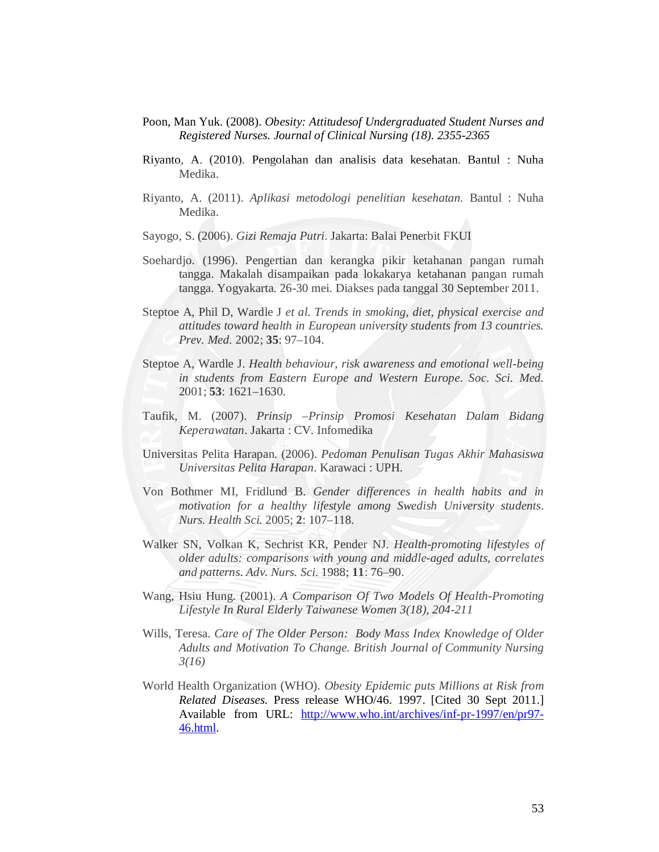- Poon, Man Yuk. (2008). *Obesity: Attitudesof Undergraduated Student Nurses and Registered Nurses. Journal of Clinical Nursing (18). 2355-2365*
- Riyanto, A. (2010). Pengolahan dan analisis data kesehatan. Bantul : Nuha Medika.
- Riyanto, A. (2011). *Aplikasi metodologi penelitian kesehatan*. Bantul : Nuha Medika.
- Sayogo, S. (2006). *Gizi Remaja Putri*. Jakarta: Balai Penerbit FKUI
- Soehardjo. (1996). Pengertian dan kerangka pikir ketahanan pangan rumah tangga. Makalah disampaikan pada lokakarya ketahanan pangan rumah tangga. Yogyakarta. 26-30 mei. Diakses pada tanggal 30 September 2011.
- Steptoe A, Phil D, Wardle J *et al. Trends in smoking, diet, physical exercise and attitudes toward health in European university students from 13 countries. Prev. Med.* 2002; **35**: 97–104.
- Steptoe A, Wardle J. *Health behaviour, risk awareness and emotional well-being in students from Eastern Europe and Western Europe*. *Soc. Sci. Med.*  2001; **53**: 1621–1630.
- Taufik, M. (2007). *Prinsip –Prinsip Promosi Kesehatan Dalam Bidang Keperawatan*. Jakarta : CV. Infomedika
- Universitas Pelita Harapan. (2006). *Pedoman Penulisan Tugas Akhir Mahasiswa Universitas Pelita Harapan*. Karawaci : UPH.
- Von Bothmer MI, Fridlund B. *Gender differences in health habits and in motivation for a healthy lifestyle among Swedish University students*. *Nurs. Health Sci.* 2005; **2**: 107–118.
- Walker SN, Volkan K, Sechrist KR, Pender NJ. *Health-promoting lifestyles of older adults: comparisons with young and middle-aged adults, correlates and patterns*. *Adv. Nurs. Sci.* 1988; **11**: 76–90.
- Wang, Hsiu Hung. (2001). *A Comparison Of Two Models Of Health-Promoting Lifestyle In Rural Elderly Taiwanese Women 3(18), 204-211*
- Wills, Teresa. *Care of The Older Person: Body Mass Index Knowledge of Older Adults and Motivation To Change*. *British Journal of Community Nursing 3(16)*
- World Health Organization (WHO). *Obesity Epidemic puts Millions at Risk from Related Diseases*. Press release WHO/46. 1997. [Cited 30 Sept 2011.] Available from URL: http://www.who.int/archives/inf-pr-1997/en/pr97- 46.html.